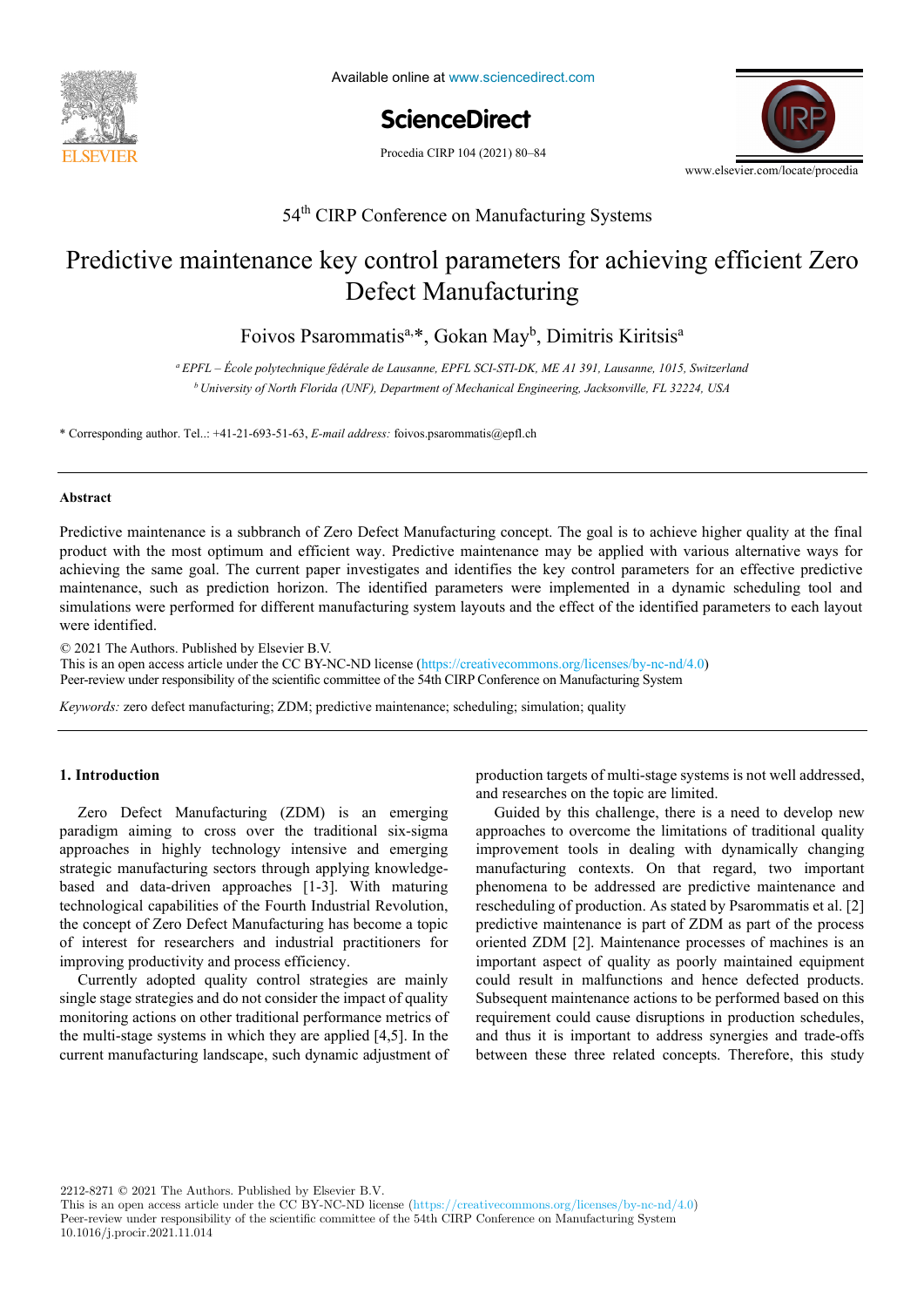

Available online at www.sciencedirect.com

**ScienceDirect** ScienceDirect Procedia CIRP 00 (2021) 000–000

Procedia CIRP 104 (2021) 80-84



# 54<sup>th</sup> CIRP Conference on Manufacturing Systems

# Predictive maintenance key control parameters for achieving efficient Zero B eter manalyzing Defect Manufacturing

Foivos Psarommatis<sup>a,\*</sup>, Gokan May<sup>b</sup>, Dimitris Kiritsis<sup>a</sup> Foivos Psarommatis<sup>a,\*</sup>, Gokan May<sup>b</sup>, Dimitris Kiritsis<sup>a</sup>

<sup>b</sup> University of North Florida (UNF), Department of Mechanical Engineering, Jacksonville, FL 32224, USA *<sup>a</sup> EPFL – École polytechnique fédérale de Lausanne, EPFL SCI-STI-DK, ME A1 391, Lausanne, 1015, Switzerland*

\* Corresponding author. Tel..: +41-21-693-51-63, *E-mail address:* foivos.psarommatis@epfl.ch

#### $\bf A$ hstract $\bf A$ **Abstract**

Predictive maintenance is a subbranch of Zero Defect Manufacturing concept. The goal is to achieve higher quality at the final product with the most optimum and efficient way. Predictive maintenance may be applied with various alternative ways for achieving the same goal. The current paper investigates and identifies the key control parameters for an effective predictive maintenance, such as prediction horizon. The identified parameters were implemented in a dynamic scheduling tool and simulations were performed for different manufacturing system layouts and the effect of the identified parameters to each layout were identified.

example of a nail-clipper is used to explain the proposed methodology. An industrial case study on two product families of steering columns of

© 2021 The Authors. Published by Elsevier B.V.

This is an open access article under the CC BY-NC-ND license (https://creativecommons.org/licenses/by-nc-nd/4.0) Peer-review under responsibility of the scientific committee of the 54th CIRP Conference on Manufacturing System a functional analysis is performed. Moreover, a hybrid functional and physical architecture graph (HyFPAG) is the output which depicts the

Keywords: zero defect manufacturing; ZDM; predictive maintenance; scheduling; simulation; quality

## **1. Introduction**

Zero Defect Manufacturing (ZDM) is an emerging based and data-driven approaches [1-3]. With maturing based and data-driven approaches [1-3]. the concept of Zero Defect Manufacturing has become a topic the concept of Zero Defect Manufacturing has become a topic the concept of late Better managements and industrial practitioners for of interest for researchers and industrial practitioners for In matter for recommends and manufacturing productivity and process efficiency. paradigm aiming to cross over the traditional six-sigma approaches in highly technology intensive and emerging strategic manufacturing sectors through applying knowledgetechnological capabilities of the Fourth Industrial Revolution,

Currently adopted quality control strategies are mainly single stage strategies and do not consider the impact of quality single stage strategies and do not consider the impact of quality monitoring actions on other traditional performance metrics of monitoring actions on other traditional performance metrics of the multi-stage systems in which they are applied [4,5]. In the competitive competition with competitive with competitive competition of the world. This trend, the world. This trend, and competitive with dynamic adjustment of current manufacturing landscape, such dynamic adjustment of

1. Introduction **Performance 2018** Production targets of multi-stage systems is not well addressed, and researches on the topic are limited.

> phenomena to be addressed are predictive maintenance and rescheduling of production. As stated by Psarommatis et al. [2] predictive maintenance is part of ZDM as part of the process  $\frac{1}{2}$ product range maintenance or part of EDM as part of the process<br>oriented ZDM [2]. Maintenance processes of machines is an important aspect of quality as poorly maintained equipment important aspect of quality as poorly maintained equipment could result in malfunctions and hence defected products. Subsequent maintenance actions to be performed based on this Subsequent maintenance actions to be performed based on this recompositions are hardly to find the could result in the finder of the malior parameter come cannot acting the performance actions on the performance actions of the performed based on the performed based on the performed based on the performed based on the performed based on the performed based o main characteristics: (i) the number of components and the components and (in) the number of components and  $\eta$ between these three related concepts. Therefore, this study Guided by this challenge, there is a need to develop new approaches to overcome the limitations of traditional quality improvement tools in dealing with dynamically changing manufacturing contexts. On that regard, two important

2212-8271 © 2021 The Authors. Published by Elsevier B.V.

This is an open access article under the CC BY-NC-ND license (https://creativecommons.org/licenses/by-nc-nd/4.0) Peer-review under responsibility of the scientific committee of the 54th CIRP Conference on Manufacturing System 10.1016/j.procir.2021.11.014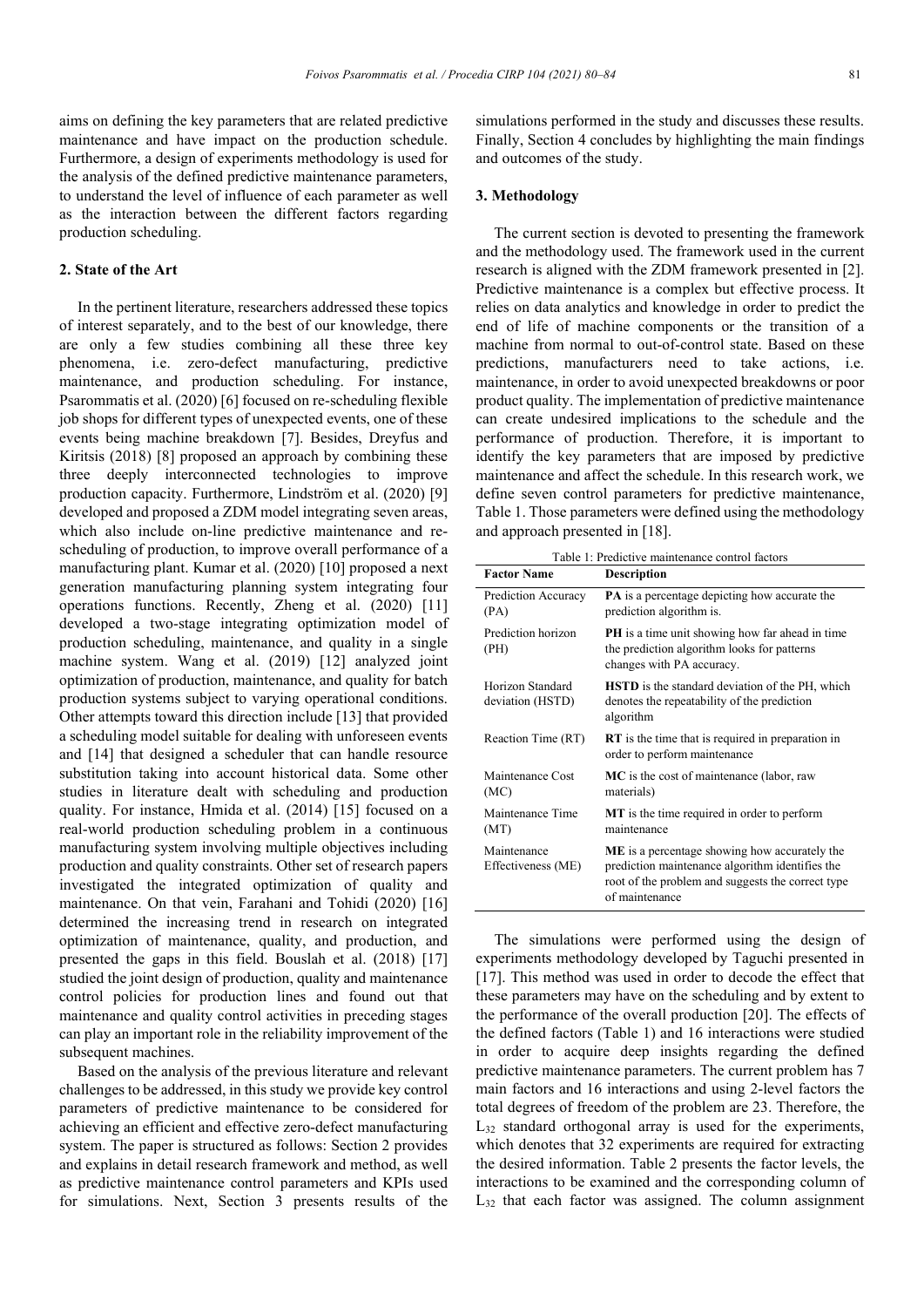aims on defining the key parameters that are related predictive maintenance and have impact on the production schedule. Furthermore, a design of experiments methodology is used for the analysis of the defined predictive maintenance parameters, to understand the level of influence of each parameter as well as the interaction between the different factors regarding production scheduling.

#### **2. State of the Art**

In the pertinent literature, researchers addressed these topics of interest separately, and to the best of our knowledge, there are only a few studies combining all these three key phenomena, i.e. zero-defect manufacturing, predictive maintenance, and production scheduling. For instance, Psarommatis et al. (2020) [6] focused on re-scheduling flexible job shops for different types of unexpected events, one of these events being machine breakdown [7]. Besides, Dreyfus and Kiritsis (2018) [8] proposed an approach by combining these three deeply interconnected technologies to improve production capacity. Furthermore, Lindström et al. (2020) [9] developed and proposed a ZDM model integrating seven areas, which also include on-line predictive maintenance and rescheduling of production, to improve overall performance of a manufacturing plant. Kumar et al. (2020) [10] proposed a next generation manufacturing planning system integrating four operations functions. Recently, Zheng et al. (2020) [11] developed a two-stage integrating optimization model of production scheduling, maintenance, and quality in a single machine system. Wang et al. (2019) [12] analyzed joint optimization of production, maintenance, and quality for batch production systems subject to varying operational conditions. Other attempts toward this direction include [13] that provided a scheduling model suitable for dealing with unforeseen events and [14] that designed a scheduler that can handle resource substitution taking into account historical data. Some other studies in literature dealt with scheduling and production quality. For instance, Hmida et al. (2014) [15] focused on a real-world production scheduling problem in a continuous manufacturing system involving multiple objectives including production and quality constraints. Other set of research papers investigated the integrated optimization of quality and maintenance. On that vein, Farahani and Tohidi (2020) [16] determined the increasing trend in research on integrated optimization of maintenance, quality, and production, and presented the gaps in this field. Bouslah et al. (2018) [17] studied the joint design of production, quality and maintenance control policies for production lines and found out that maintenance and quality control activities in preceding stages can play an important role in the reliability improvement of the subsequent machines.

Based on the analysis of the previous literature and relevant challenges to be addressed, in this study we provide key control parameters of predictive maintenance to be considered for achieving an efficient and effective zero-defect manufacturing system. The paper is structured as follows: Section 2 provides and explains in detail research framework and method, as well as predictive maintenance control parameters and KPIs used for simulations. Next, Section 3 presents results of the

simulations performed in the study and discusses these results. Finally, Section 4 concludes by highlighting the main findings and outcomes of the study.

## **3. Methodology**

The current section is devoted to presenting the framework and the methodology used. The framework used in the current research is aligned with the ZDM framework presented in [2]. Predictive maintenance is a complex but effective process. It relies on data analytics and knowledge in order to predict the end of life of machine components or the transition of a machine from normal to out-of-control state. Based on these predictions, manufacturers need to take actions, i.e. maintenance, in order to avoid unexpected breakdowns or poor product quality. The implementation of predictive maintenance can create undesired implications to the schedule and the performance of production. Therefore, it is important to identify the key parameters that are imposed by predictive maintenance and affect the schedule. In this research work, we define seven control parameters for predictive maintenance, Table 1. Those parameters were defined using the methodology and approach presented in [18].

| Table 1: Predictive maintenance control factors |                                                                                                                                                                                |  |  |  |  |
|-------------------------------------------------|--------------------------------------------------------------------------------------------------------------------------------------------------------------------------------|--|--|--|--|
| <b>Factor Name</b>                              | <b>Description</b>                                                                                                                                                             |  |  |  |  |
| Prediction Accuracy<br>(PA)                     | <b>PA</b> is a percentage depicting how accurate the<br>prediction algorithm is.                                                                                               |  |  |  |  |
| Prediction horizon<br>(PH)                      | <b>PH</b> is a time unit showing how far ahead in time<br>the prediction algorithm looks for patterns<br>changes with PA accuracy.                                             |  |  |  |  |
| Horizon Standard<br>deviation (HSTD)            | <b>HSTD</b> is the standard deviation of the PH, which<br>denotes the repeatability of the prediction<br>algorithm                                                             |  |  |  |  |
| Reaction Time (RT)                              | <b>RT</b> is the time that is required in preparation in<br>order to perform maintenance                                                                                       |  |  |  |  |
| Maintenance Cost<br>(MC)                        | MC is the cost of maintenance (labor, raw<br>materials)                                                                                                                        |  |  |  |  |
| Maintenance Time<br>(MT)                        | MT is the time required in order to perform<br>maintenance                                                                                                                     |  |  |  |  |
| Maintenance<br>Effectiveness (ME)               | <b>ME</b> is a percentage showing how accurately the<br>prediction maintenance algorithm identifies the<br>root of the problem and suggests the correct type<br>of maintenance |  |  |  |  |

The simulations were performed using the design of experiments methodology developed by Taguchi presented in [17]. This method was used in order to decode the effect that these parameters may have on the scheduling and by extent to the performance of the overall production [20]. The effects of the defined factors (Table 1) and 16 interactions were studied in order to acquire deep insights regarding the defined predictive maintenance parameters. The current problem has 7 main factors and 16 interactions and using 2-level factors the total degrees of freedom of the problem are 23. Therefore, the L32 standard orthogonal array is used for the experiments, which denotes that 32 experiments are required for extracting the desired information. Table 2 presents the factor levels, the interactions to be examined and the corresponding column of  $L_{32}$  that each factor was assigned. The column assignment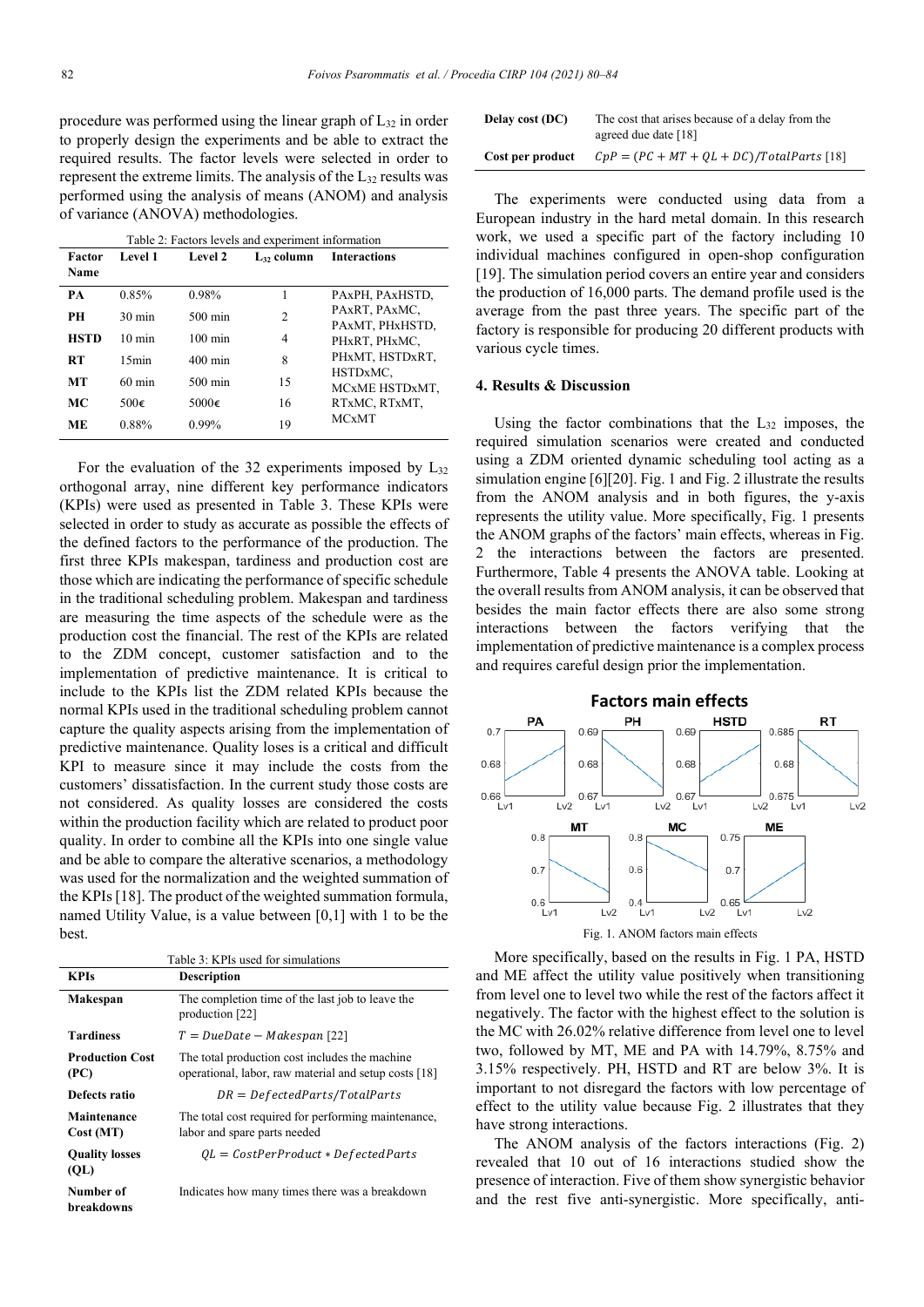procedure was performed using the linear graph of  $L_{32}$  in order to properly design the experiments and be able to extract the required results. The factor levels were selected in order to represent the extreme limits. The analysis of the L32 results was performed using the analysis of means (ANOM) and analysis of variance (ANOVA) methodologies.

| Table 2: Factors levels and experiment information |                  |                                                            |    |                                  |  |  |  |  |
|----------------------------------------------------|------------------|------------------------------------------------------------|----|----------------------------------|--|--|--|--|
| Factor<br>Name                                     | Level 1          | Level 2<br>$\mathbf{L}_{32}$ column<br><b>Interactions</b> |    |                                  |  |  |  |  |
|                                                    |                  |                                                            |    |                                  |  |  |  |  |
| PA                                                 | 0.85%            | 0.98%                                                      | 1  | PAxPH, PAxHSTD,                  |  |  |  |  |
| <b>PH</b>                                          | $30 \text{ min}$ | $500 \text{ min}$                                          | 2  | PAXRT. PAXMC.<br>PAxMT, PHxHSTD, |  |  |  |  |
|                                                    |                  |                                                            |    |                                  |  |  |  |  |
| <b>HSTD</b>                                        | $10 \text{ min}$ | $100 \text{ min}$                                          | 4  | PHxRT, PHxMC,                    |  |  |  |  |
| <b>RT</b>                                          | 15min            | $400 \text{ min}$                                          | 8  | PHxMT, HSTDxRT,                  |  |  |  |  |
|                                                    |                  |                                                            |    | HSTDxMC.                         |  |  |  |  |
| MТ                                                 | $60 \text{ min}$ | $500 \text{ min}$                                          | 15 | MCxME HSTDxMT,                   |  |  |  |  |
| МC                                                 | 500 $\epsilon$   | 5000 $\epsilon$                                            | 16 | RTxMC, RTxMT,                    |  |  |  |  |
| <b>ME</b>                                          | 0.88%            | $0.99\%$                                                   | 19 | <b>MCxMT</b>                     |  |  |  |  |

For the evaluation of the 32 experiments imposed by  $L_{32}$ orthogonal array, nine different key performance indicators (KPIs) were used as presented in Table 3. These KPIs were selected in order to study as accurate as possible the effects of the defined factors to the performance of the production. The first three KPIs makespan, tardiness and production cost are those which are indicating the performance of specific schedule in the traditional scheduling problem. Makespan and tardiness are measuring the time aspects of the schedule were as the production cost the financial. The rest of the KPIs are related to the ZDM concept, customer satisfaction and to the implementation of predictive maintenance. It is critical to include to the KPIs list the ZDM related KPIs because the normal KPIs used in the traditional scheduling problem cannot capture the quality aspects arising from the implementation of predictive maintenance. Quality loses is a critical and difficult KPI to measure since it may include the costs from the customers' dissatisfaction. In the current study those costs are not considered. As quality losses are considered the costs within the production facility which are related to product poor quality. In order to combine all the KPIs into one single value and be able to compare the alterative scenarios, a methodology was used for the normalization and the weighted summation of the KPIs [18]. The product of the weighted summation formula, named Utility Value, is a value between [0,1] with 1 to be the best.

Table 3: KPIs used for simulations **KPIs Description Makespan** The completion time of the last job to leave the production [22]  $T = Due Date - Makespan [22]$ **Production Cost (PC)** The total production cost includes the machine operational, labor, raw material and setup costs [18] **Defects ratio**  $DR = Defected Parts/TotalParts$ **Maintenance Cost (MT)** The total cost required for performing maintenance, labor and spare parts needed **Quality losses (QL)**  $QL = CostPerProduct * Defected Parts$ **Number of breakdowns** Indicates how many times there was a breakdown

| Delay cost (DC)  | The cost that arises because of a delay from the<br>agreed due date [18] |
|------------------|--------------------------------------------------------------------------|
| Cost per product | $CpP = (PC + MT + QL + DC)/TotalParts$ [18]                              |

The experiments were conducted using data from a European industry in the hard metal domain. In this research work, we used a specific part of the factory including 10 individual machines configured in open-shop configuration [19]. The simulation period covers an entire year and considers the production of 16,000 parts. The demand profile used is the average from the past three years. The specific part of the factory is responsible for producing 20 different products with various cycle times.

## **4. Results & Discussion**

Using the factor combinations that the  $L_{32}$  imposes, the required simulation scenarios were created and conducted using a ZDM oriented dynamic scheduling tool acting as a simulation engine [6][20]. Fig. 1 and Fig. 2 illustrate the results from the ANOM analysis and in both figures, the y-axis represents the utility value. More specifically, Fig. 1 presents the ANOM graphs of the factors' main effects, whereas in Fig. 2 the interactions between the factors are presented. Furthermore, Table 4 presents the ANOVA table. Looking at the overall results from ANOM analysis, it can be observed that besides the main factor effects there are also some strong interactions between the factors verifying that the implementation of predictive maintenance is a complex process and requires careful design prior the implementation.



More specifically, based on the results in Fig. 1 PA, HSTD and ME affect the utility value positively when transitioning from level one to level two while the rest of the factors affect it negatively. The factor with the highest effect to the solution is the MC with 26.02% relative difference from level one to level two, followed by MT, ME and PA with 14.79%, 8.75% and 3.15% respectively. PH, HSTD and RT are below 3%. It is important to not disregard the factors with low percentage of effect to the utility value because Fig. 2 illustrates that they have strong interactions.

The ANOM analysis of the factors interactions (Fig. 2) revealed that 10 out of 16 interactions studied show the presence of interaction. Five of them show synergistic behavior and the rest five anti-synergistic. More specifically, anti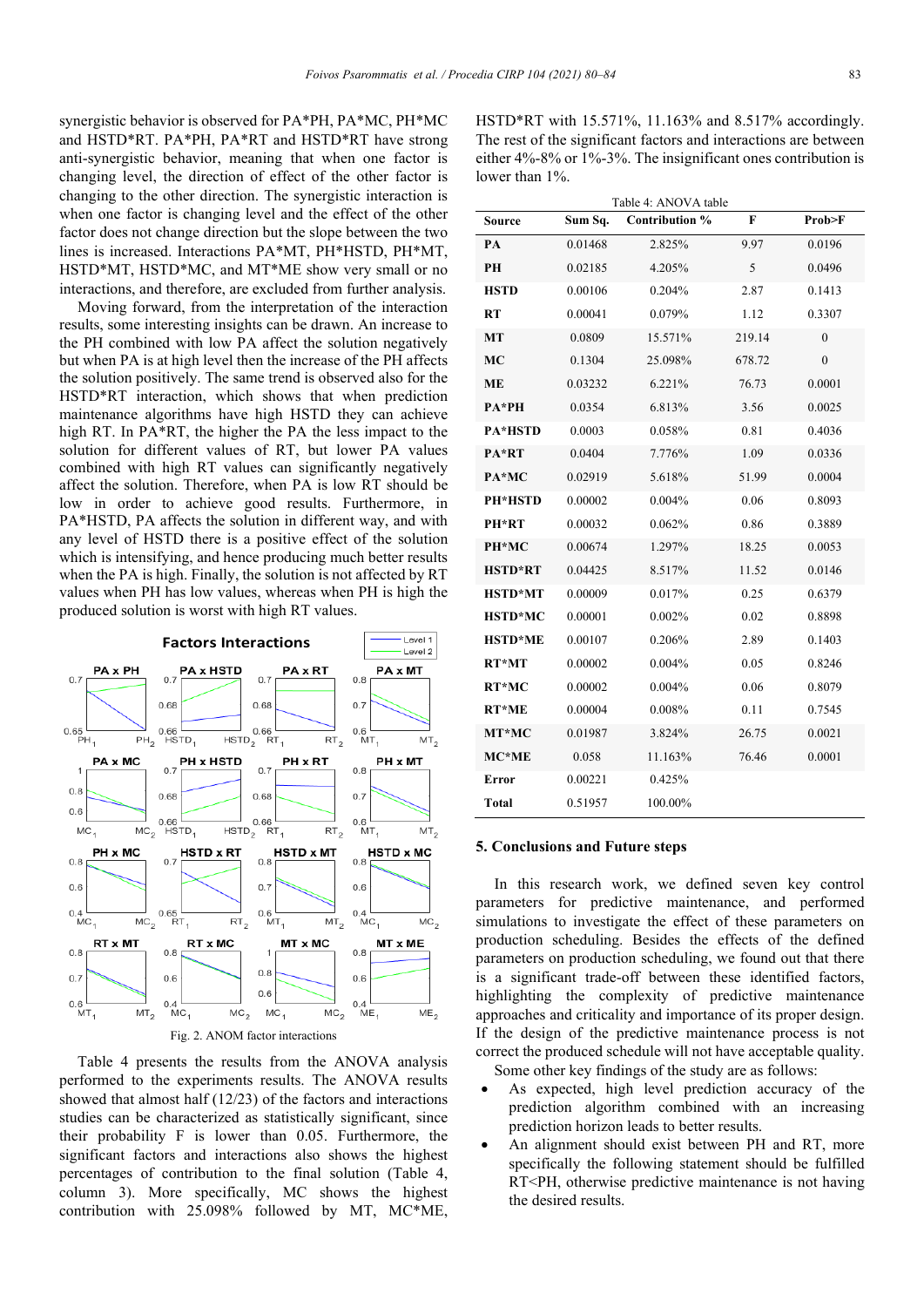synergistic behavior is observed for PA\*PH, PA\*MC, PH\*MC and HSTD\*RT. PA\*PH, PA\*RT and HSTD\*RT have strong anti-synergistic behavior, meaning that when one factor is changing level, the direction of effect of the other factor is changing to the other direction. The synergistic interaction is when one factor is changing level and the effect of the other factor does not change direction but the slope between the two lines is increased. Interactions PA\*MT, PH\*HSTD, PH\*MT, HSTD\*MT, HSTD\*MC, and MT\*ME show very small or no interactions, and therefore, are excluded from further analysis.

Moving forward, from the interpretation of the interaction results, some interesting insights can be drawn. An increase to the PH combined with low PA affect the solution negatively but when PA is at high level then the increase of the PH affects the solution positively. The same trend is observed also for the HSTD\*RT interaction, which shows that when prediction maintenance algorithms have high HSTD they can achieve high RT. In PA\*RT, the higher the PA the less impact to the solution for different values of RT, but lower PA values combined with high RT values can significantly negatively affect the solution. Therefore, when PA is low RT should be low in order to achieve good results. Furthermore, in PA\*HSTD, PA affects the solution in different way, and with any level of HSTD there is a positive effect of the solution which is intensifying, and hence producing much better results when the PA is high. Finally, the solution is not affected by RT values when PH has low values, whereas when PH is high the produced solution is worst with high RT values.



Table 4 presents the results from the ANOVA analysis performed to the experiments results. The ANOVA results showed that almost half (12/23) of the factors and interactions studies can be characterized as statistically significant, since their probability F is lower than 0.05. Furthermore, the significant factors and interactions also shows the highest percentages of contribution to the final solution (Table 4, column 3). More specifically, MC shows the highest contribution with 25.098% followed by MT, MC\*ME,

HSTD\*RT with 15.571%, 11.163% and 8.517% accordingly. The rest of the significant factors and interactions are between either 4%-8% or 1%-3%. The insignificant ones contribution is lower than 1%.

| Table 4: ANOVA table |         |                |        |              |  |  |  |  |
|----------------------|---------|----------------|--------|--------------|--|--|--|--|
| Source               | Sum Sq. | Contribution % | F      | Prob>F       |  |  |  |  |
| PА                   | 0.01468 | 2.825%         | 9.97   | 0.0196       |  |  |  |  |
| PН                   | 0.02185 | 4.205%         | 5      | 0.0496       |  |  |  |  |
| <b>HSTD</b>          | 0.00106 | 0.204%         | 2.87   | 0.1413       |  |  |  |  |
| RT                   | 0.00041 | 0.079%         | 1.12   | 0.3307       |  |  |  |  |
| МT                   | 0.0809  | 15.571%        | 219.14 | $\mathbf{0}$ |  |  |  |  |
| MC                   | 0.1304  | 25.098%        | 678.72 | $\theta$     |  |  |  |  |
| MЕ                   | 0.03232 | 6.221%         | 76.73  | 0.0001       |  |  |  |  |
| PA*PH                | 0.0354  | 6.813%         | 3.56   | 0.0025       |  |  |  |  |
| <b>PA*HSTD</b>       | 0.0003  | 0.058%         | 0.81   | 0.4036       |  |  |  |  |
| PA*RT                | 0.0404  | 7.776%         | 1.09   | 0.0336       |  |  |  |  |
| PA*MC                | 0.02919 | 5.618%         | 51.99  | 0.0004       |  |  |  |  |
| <b>PH*HSTD</b>       | 0.00002 | $0.004\%$      | 0.06   | 0.8093       |  |  |  |  |
| PH*RT                | 0.00032 | 0.062%         | 0.86   | 0.3889       |  |  |  |  |
| PH*MC                | 0.00674 | 1.297%         | 18.25  | 0.0053       |  |  |  |  |
| <b>HSTD*RT</b>       | 0.04425 | 8.517%         | 11.52  | 0.0146       |  |  |  |  |
| <b>HSTD*MT</b>       | 0.00009 | 0.017%         | 0.25   | 0.6379       |  |  |  |  |
| <b>HSTD*MC</b>       | 0.00001 | 0.002%         | 0.02   | 0.8898       |  |  |  |  |
| <b>HSTD*ME</b>       | 0.00107 | 0.206%         | 2.89   | 0.1403       |  |  |  |  |
| RT*MT                | 0.00002 | 0.004%         | 0.05   | 0.8246       |  |  |  |  |
| RT*MC                | 0.00002 | 0.004%         | 0.06   | 0.8079       |  |  |  |  |
| <b>RT*ME</b>         | 0.00004 | 0.008%         | 0.11   | 0.7545       |  |  |  |  |
| MT*MC                | 0.01987 | 3.824%         | 26.75  | 0.0021       |  |  |  |  |
| $MC^*ME$             | 0.058   | 11.163%        | 76.46  | 0.0001       |  |  |  |  |
| Error                | 0.00221 | 0.425%         |        |              |  |  |  |  |
| Total                | 0.51957 | 100.00%        |        |              |  |  |  |  |

#### **5. Conclusions and Future steps**

In this research work, we defined seven key control parameters for predictive maintenance, and performed simulations to investigate the effect of these parameters on production scheduling. Besides the effects of the defined parameters on production scheduling, we found out that there is a significant trade-off between these identified factors, highlighting the complexity of predictive maintenance approaches and criticality and importance of its proper design. If the design of the predictive maintenance process is not correct the produced schedule will not have acceptable quality. Some other key findings of the study are as follows:

- As expected, high level prediction accuracy of the prediction algorithm combined with an increasing prediction horizon leads to better results.
- An alignment should exist between PH and RT, more specifically the following statement should be fulfilled RT<PH, otherwise predictive maintenance is not having the desired results.